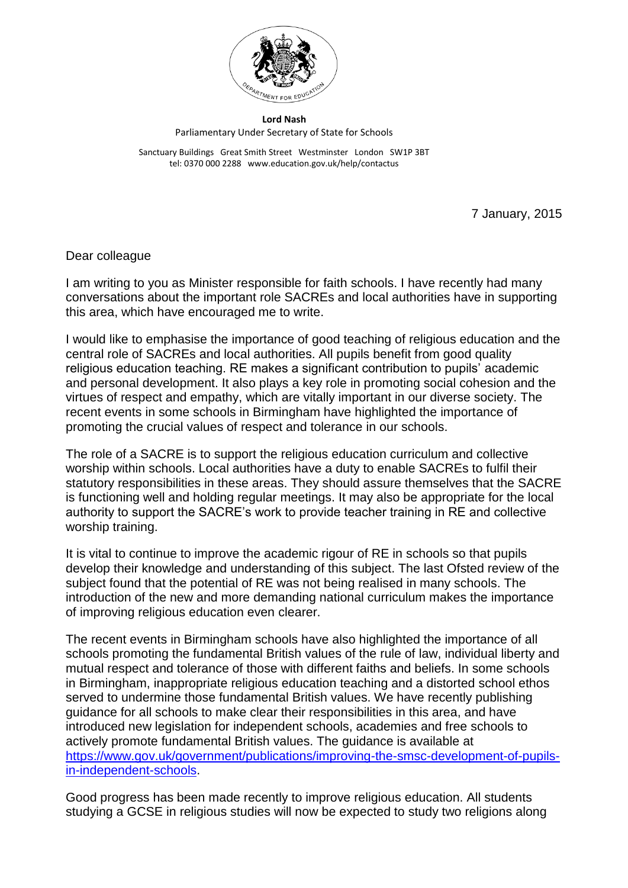

**Lord Nash** Parliamentary Under Secretary of State for Schools

Sanctuary Buildings Great Smith Street Westminster London SW1P 3BT tel: 0370 000 2288 www.education.gov.uk/help/contactus

7 January, 2015

## Dear colleague

I am writing to you as Minister responsible for faith schools. I have recently had many conversations about the important role SACREs and local authorities have in supporting this area, which have encouraged me to write.

I would like to emphasise the importance of good teaching of religious education and the central role of SACREs and local authorities. All pupils benefit from good quality religious education teaching. RE makes a significant contribution to pupils' academic and personal development. It also plays a key role in promoting social cohesion and the virtues of respect and empathy, which are vitally important in our diverse society. The recent events in some schools in Birmingham have highlighted the importance of promoting the crucial values of respect and tolerance in our schools.

The role of a SACRE is to support the religious education curriculum and collective worship within schools. Local authorities have a duty to enable SACREs to fulfil their statutory responsibilities in these areas. They should assure themselves that the SACRE is functioning well and holding regular meetings. It may also be appropriate for the local authority to support the SACRE's work to provide teacher training in RE and collective worship training.

It is vital to continue to improve the academic rigour of RE in schools so that pupils develop their knowledge and understanding of this subject. The last Ofsted review of the subject found that the potential of RE was not being realised in many schools. The introduction of the new and more demanding national curriculum makes the importance of improving religious education even clearer.

The recent events in Birmingham schools have also highlighted the importance of all schools promoting the fundamental British values of the rule of law, individual liberty and mutual respect and tolerance of those with different faiths and beliefs. In some schools in Birmingham, inappropriate religious education teaching and a distorted school ethos served to undermine those fundamental British values. We have recently publishing guidance for all schools to make clear their responsibilities in this area, and have introduced new legislation for independent schools, academies and free schools to actively promote fundamental British values. The guidance is available at [https://www.gov.uk/government/publications/improving-the-smsc-development-of-pupils](https://www.gov.uk/government/publications/improving-the-smsc-development-of-pupils-in-independent-schools)[in-independent-schools.](https://www.gov.uk/government/publications/improving-the-smsc-development-of-pupils-in-independent-schools)

Good progress has been made recently to improve religious education. All students studying a GCSE in religious studies will now be expected to study two religions along